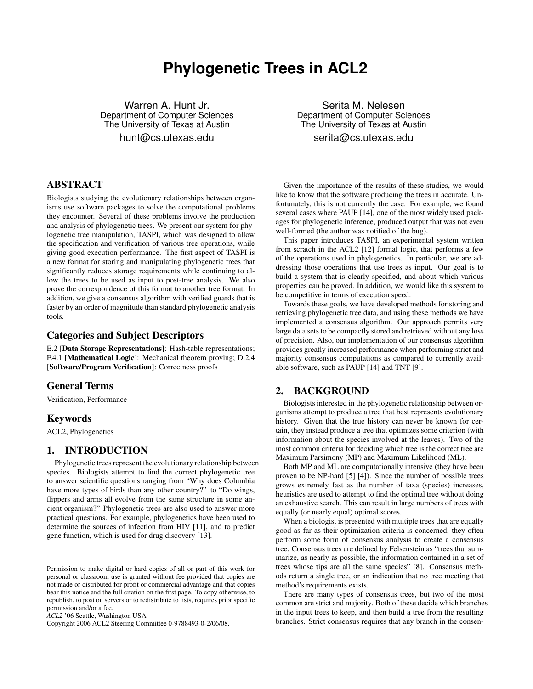# **Phylogenetic Trees in ACL2**

Warren A. Hunt Jr. Department of Computer Sciences The University of Texas at Austin

hunt@cs.utexas.edu

# ABSTRACT

Biologists studying the evolutionary relationships between organisms use software packages to solve the computational problems they encounter. Several of these problems involve the production and analysis of phylogenetic trees. We present our system for phylogenetic tree manipulation, TASPI, which was designed to allow the specification and verification of various tree operations, while giving good execution performance. The first aspect of TASPI is a new format for storing and manipulating phylogenetic trees that significantly reduces storage requirements while continuing to allow the trees to be used as input to post-tree analysis. We also prove the correspondence of this format to another tree format. In addition, we give a consensus algorithm with verified guards that is faster by an order of magnitude than standard phylogenetic analysis tools.

#### Categories and Subject Descriptors

E.2 [Data Storage Representations]: Hash-table representations; F.4.1 [Mathematical Logic]: Mechanical theorem proving; D.2.4 [Software/Program Verification]: Correctness proofs

#### General Terms

Verification, Performance

#### Keywords

ACL2, Phylogenetics

# 1. INTRODUCTION

Phylogenetic trees represent the evolutionary relationship between species. Biologists attempt to find the correct phylogenetic tree to answer scientific questions ranging from "Why does Columbia have more types of birds than any other country?" to "Do wings, flippers and arms all evolve from the same structure in some ancient organism?" Phylogenetic trees are also used to answer more practical questions. For example, phylogenetics have been used to determine the sources of infection from HIV [11], and to predict gene function, which is used for drug discovery [13].

*ACL2* '06 Seattle, Washington USA

Copyright 2006 ACL2 Steering Committee 0-9788493-0-2/06/08.

Serita M. Nelesen Department of Computer Sciences The University of Texas at Austin serita@cs.utexas.edu

Given the importance of the results of these studies, we would like to know that the software producing the trees in accurate. Unfortunately, this is not currently the case. For example, we found several cases where PAUP [14], one of the most widely used packages for phylogenetic inference, produced output that was not even well-formed (the author was notified of the bug).

This paper introduces TASPI, an experimental system written from scratch in the ACL2 [12] formal logic, that performs a few of the operations used in phylogenetics. In particular, we are addressing those operations that use trees as input. Our goal is to build a system that is clearly specified, and about which various properties can be proved. In addition, we would like this system to be competitive in terms of execution speed.

Towards these goals, we have developed methods for storing and retrieving phylogenetic tree data, and using these methods we have implemented a consensus algorithm. Our approach permits very large data sets to be compactly stored and retrieved without any loss of precision. Also, our implementation of our consensus algorithm provides greatly increased performance when performing strict and majority consensus computations as compared to currently available software, such as PAUP [14] and TNT [9].

#### 2. BACKGROUND

Biologists interested in the phylogenetic relationship between organisms attempt to produce a tree that best represents evolutionary history. Given that the true history can never be known for certain, they instead produce a tree that optimizes some criterion (with information about the species involved at the leaves). Two of the most common criteria for deciding which tree is the correct tree are Maximum Parsimony (MP) and Maximum Likelihood (ML).

Both MP and ML are computationally intensive (they have been proven to be NP-hard [5] [4]). Since the number of possible trees grows extremely fast as the number of taxa (species) increases, heuristics are used to attempt to find the optimal tree without doing an exhaustive search. This can result in large numbers of trees with equally (or nearly equal) optimal scores.

When a biologist is presented with multiple trees that are equally good as far as their optimization criteria is concerned, they often perform some form of consensus analysis to create a consensus tree. Consensus trees are defined by Felsenstein as "trees that summarize, as nearly as possible, the information contained in a set of trees whose tips are all the same species" [8]. Consensus methods return a single tree, or an indication that no tree meeting that method's requirements exists.

There are many types of consensus trees, but two of the most common are strict and majority. Both of these decide which branches in the input trees to keep, and then build a tree from the resulting branches. Strict consensus requires that any branch in the consen-

Permission to make digital or hard copies of all or part of this work for personal or classroom use is granted without fee provided that copies are not made or distributed for profit or commercial advantage and that copies bear this notice and the full citation on the first page. To copy otherwise, to republish, to post on servers or to redistribute to lists, requires prior specific permission and/or a fee.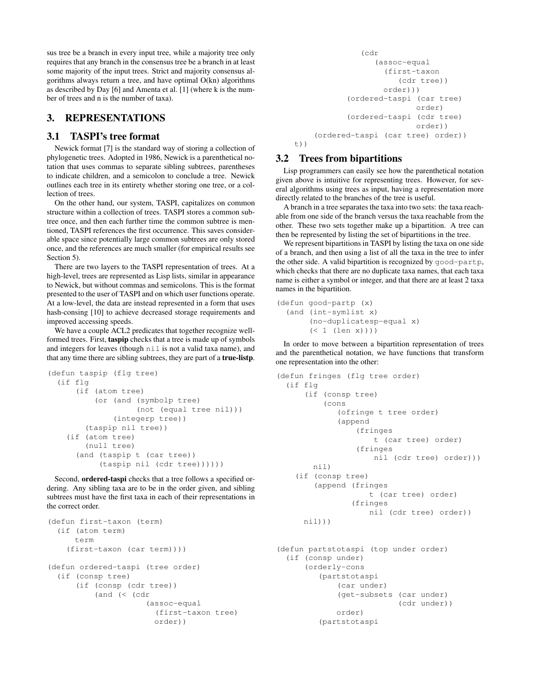sus tree be a branch in every input tree, while a majority tree only requires that any branch in the consensus tree be a branch in at least some majority of the input trees. Strict and majority consensus algorithms always return a tree, and have optimal O(kn) algorithms as described by Day [6] and Amenta et al. [1] (where k is the number of trees and n is the number of taxa).

# 3. REPRESENTATIONS

#### 3.1 TASPI's tree format

Newick format [7] is the standard way of storing a collection of phylogenetic trees. Adopted in 1986, Newick is a parenthetical notation that uses commas to separate sibling subtrees, parentheses to indicate children, and a semicolon to conclude a tree. Newick outlines each tree in its entirety whether storing one tree, or a collection of trees.

On the other hand, our system, TASPI, capitalizes on common structure within a collection of trees. TASPI stores a common subtree once, and then each further time the common subtree is mentioned, TASPI references the first occurrence. This saves considerable space since potentially large common subtrees are only stored once, and the references are much smaller (for empirical results see Section 5).

There are two layers to the TASPI representation of trees. At a high-level, trees are represented as Lisp lists, similar in appearance to Newick, but without commas and semicolons. This is the format presented to the user of TASPI and on which user functions operate. At a low-level, the data are instead represented in a form that uses hash-consing [10] to achieve decreased storage requirements and improved accessing speeds.

We have a couple ACL2 predicates that together recognize wellformed trees. First, taspip checks that a tree is made up of symbols and integers for leaves (though nil is not a valid taxa name), and that any time there are sibling subtrees, they are part of a true-listp.

```
(defun taspip (flg tree)
  (i f f)(if (atom tree)
          (or (and (symbolp tree)
                    (not (equal tree nil)))
              (integerp tree))
        (taspip nil tree))
    (if (atom tree)
        (null tree)
      (and (taspip t (car tree))
           (taspip nil (cdr tree))))))
```
Second, ordered-taspi checks that a tree follows a specified ordering. Any sibling taxa are to be in the order given, and sibling subtrees must have the first taxa in each of their representations in the correct order.

```
(defun first-taxon (term)
  (if (atom term)
     term
    (first-taxon (car term))))
(defun ordered-taspi (tree order)
  (if (consp tree)
      (if (consp (cdr tree))
          (and (< (cdr
                      (assoc-equal
                        (first-taxon tree)
                        order))
```

```
(cdr
             (assoc-equal
                (first-taxon
                   (cdr tree))
               order)))
       (ordered-taspi (car tree)
                       order)
       (ordered-taspi (cdr tree)
                       order))
(ordered-taspi (car tree) order))
```
# 3.2 Trees from bipartitions

t))

Lisp programmers can easily see how the parenthetical notation given above is intuitive for representing trees. However, for several algorithms using trees as input, having a representation more directly related to the branches of the tree is useful.

A branch in a tree separates the taxa into two sets: the taxa reachable from one side of the branch versus the taxa reachable from the other. These two sets together make up a bipartition. A tree can then be represented by listing the set of bipartitions in the tree.

We represent bipartitions in TASPI by listing the taxa on one side of a branch, and then using a list of all the taxa in the tree to infer the other side. A valid bipartition is recognized by good-partp, which checks that there are no duplicate taxa names, that each taxa name is either a symbol or integer, and that there are at least 2 taxa names in the bipartition.

```
(defun good-partp (x)
  (and (int-symlist x)
       (no-duplicatesp-equal x)
       (< 1 (len x))))
```
In order to move between a bipartition representation of trees and the parenthetical notation, we have functions that transform one representation into the other:

```
(defun fringes (flg tree order)
  (if flg
      (if (consp tree)
          (cons
             (ofringe t tree order)
             (append
                  (fringes
                      t (car tree) order)
                  (fringes
                      nil (cdr tree) order)))
        nil)
    (if (consp tree)
        (append (fringes
                     t (car tree) order)
                 (fringes
                    nil (cdr tree) order))
      nil)))
(defun partstotaspi (top under order)
  (if (consp under)
```

```
(orderly-cons
   (partstotaspi
       (car under)
       (get-subsets (car under)
                     (cdr under))
       order)
   (partstotaspi
```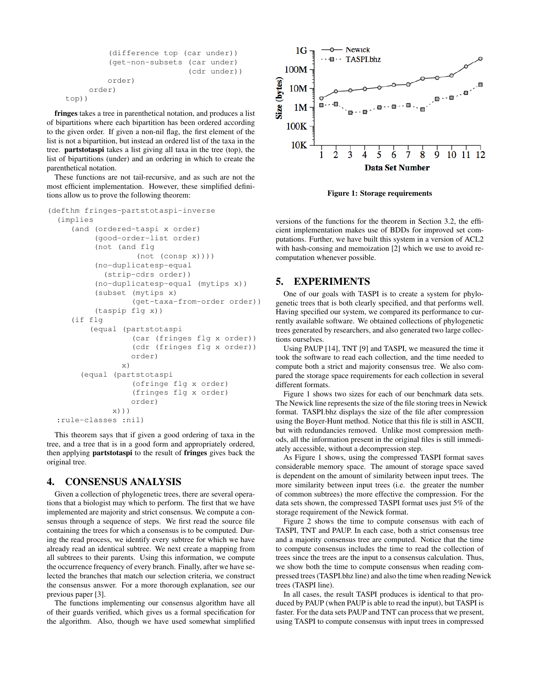```
(difference top (car under))
         (get-non-subsets (car under)
                            (cdr under))
         order)
     order)
top))
```
fringes takes a tree in parenthetical notation, and produces a list of bipartitions where each bipartition has been ordered according to the given order. If given a non-nil flag, the first element of the list is not a bipartition, but instead an ordered list of the taxa in the tree. partstotaspi takes a list giving all taxa in the tree (top), the list of bipartitions (under) and an ordering in which to create the parenthetical notation.

These functions are not tail-recursive, and as such are not the most efficient implementation. However, these simplified definitions allow us to prove the following theorem:

```
(defthm fringes-partstotaspi-inverse
  (implies
     (and (ordered-taspi x order)
          (good-order-list order)
          (not (and flg
                    (not (consp x))))
          (no-duplicatesp-equal
            (strip-cdrs order))
          (no-duplicatesp-equal (mytips x))
          (subset (mytips x)
                   (get-taxa-from-order order))
          (taspip flg x))
     (if flg
         (equal (partstotaspi
                   (car (fringes flg x order))
                   (cdr (fringes flg x order))
                  order)
                x)
       (equal (partstotaspi
                   (ofringe flg x order)
                   (fringes flg x order)
                  order)
              x))
  :rule-classes :nil)
```
This theorem says that if given a good ordering of taxa in the tree, and a tree that is in a good form and appropriately ordered, then applying partstotaspi to the result of fringes gives back the original tree.

### 4. CONSENSUS ANALYSIS

Given a collection of phylogenetic trees, there are several operations that a biologist may which to perform. The first that we have implemented are majority and strict consensus. We compute a consensus through a sequence of steps. We first read the source file containing the trees for which a consensus is to be computed. During the read process, we identify every subtree for which we have already read an identical subtree. We next create a mapping from all subtrees to their parents. Using this information, we compute the occurrence frequency of every branch. Finally, after we have selected the branches that match our selection criteria, we construct the consensus answer. For a more thorough explanation, see our previous paper [3].

The functions implementing our consensus algorithm have all of their guards verified, which gives us a formal specification for the algorithm. Also, though we have used somewhat simplified



Figure 1: Storage requirements

versions of the functions for the theorem in Section 3.2, the efficient implementation makes use of BDDs for improved set computations. Further, we have built this system in a version of ACL2 with hash-consing and memoization [2] which we use to avoid recomputation whenever possible.

# 5. EXPERIMENTS

One of our goals with TASPI is to create a system for phylogenetic trees that is both clearly specified, and that performs well. Having specified our system, we compared its performance to currently available software. We obtained collections of phylogenetic trees generated by researchers, and also generated two large collections ourselves.

Using PAUP [14], TNT [9] and TASPI, we measured the time it took the software to read each collection, and the time needed to compute both a strict and majority consensus tree. We also compared the storage space requirements for each collection in several different formats.

Figure 1 shows two sizes for each of our benchmark data sets. The Newick line represents the size of the file storing trees in Newick format. TASPI.bhz displays the size of the file after compression using the Boyer-Hunt method. Notice that this file is still in ASCII, but with redundancies removed. Unlike most compression methods, all the information present in the original files is still immediately accessible, without a decompression step.

As Figure 1 shows, using the compressed TASPI format saves considerable memory space. The amount of storage space saved is dependent on the amount of similarity between input trees. The more similarity between input trees (i.e. the greater the number of common subtrees) the more effective the compression. For the data sets shown, the compressed TASPI format uses just 5% of the storage requirement of the Newick format.

Figure 2 shows the time to compute consensus with each of TASPI, TNT and PAUP. In each case, both a strict consensus tree and a majority consensus tree are computed. Notice that the time to compute consensus includes the time to read the collection of trees since the trees are the input to a consensus calculation. Thus, we show both the time to compute consensus when reading compressed trees (TASPI.bhz line) and also the time when reading Newick trees (TASPI line).

In all cases, the result TASPI produces is identical to that produced by PAUP (when PAUP is able to read the input), but TASPI is faster. For the data sets PAUP and TNT can process that we present, using TASPI to compute consensus with input trees in compressed